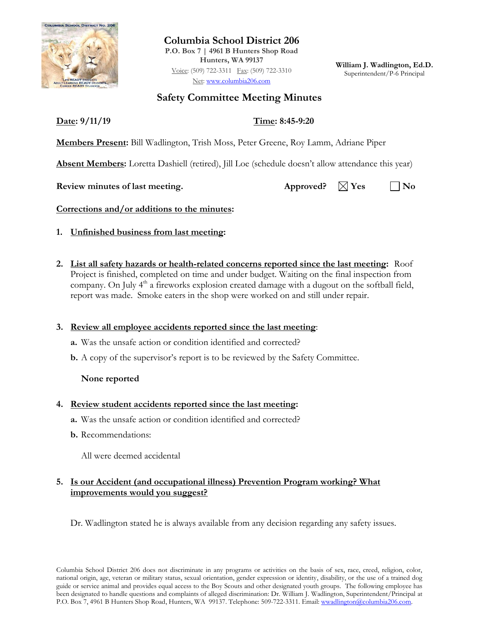

**Columbia School District 206 P.O. Box 7 | 4961 B Hunters Shop Road Hunters, WA 99137** Voice: (509) 722-3311 Fax: (509) 722-3310 Net: [www.columbia206.com](http://www.columbia206.com/)

**William J. Wadlington, Ed.D.** Superintendent/P-6 Principal

# **Safety Committee Meeting Minutes**

**Date: 9/11/19 Time: 8:45-9:20**

**Members Present:** Bill Wadlington, Trish Moss, Peter Greene, Roy Lamm, Adriane Piper

**Absent Members:** Loretta Dashiell (retired), Jill Loe (schedule doesn't allow attendance this year)

**Review minutes of last meeting.** Approved?  $\boxtimes$  Yes  $\Box$  No

**Corrections and/or additions to the minutes:**

- **1. Unfinished business from last meeting:**
- **2. List all safety hazards or health-related concerns reported since the last meeting:** Roof Project is finished, completed on time and under budget. Waiting on the final inspection from company. On July 4<sup>th</sup> a fireworks explosion created damage with a dugout on the softball field, report was made.Smoke eaters in the shop were worked on and still under repair.

## **3. Review all employee accidents reported since the last meeting**:

- **a.** Was the unsafe action or condition identified and corrected?
- **b.** A copy of the supervisor's report is to be reviewed by the Safety Committee.

## **None reported**

## **4. Review student accidents reported since the last meeting:**

- **a.** Was the unsafe action or condition identified and corrected?
- **b.** Recommendations:

All were deemed accidental

#### **5. Is our Accident (and occupational illness) Prevention Program working? What improvements would you suggest?**

Dr. Wadlington stated he is always available from any decision regarding any safety issues.